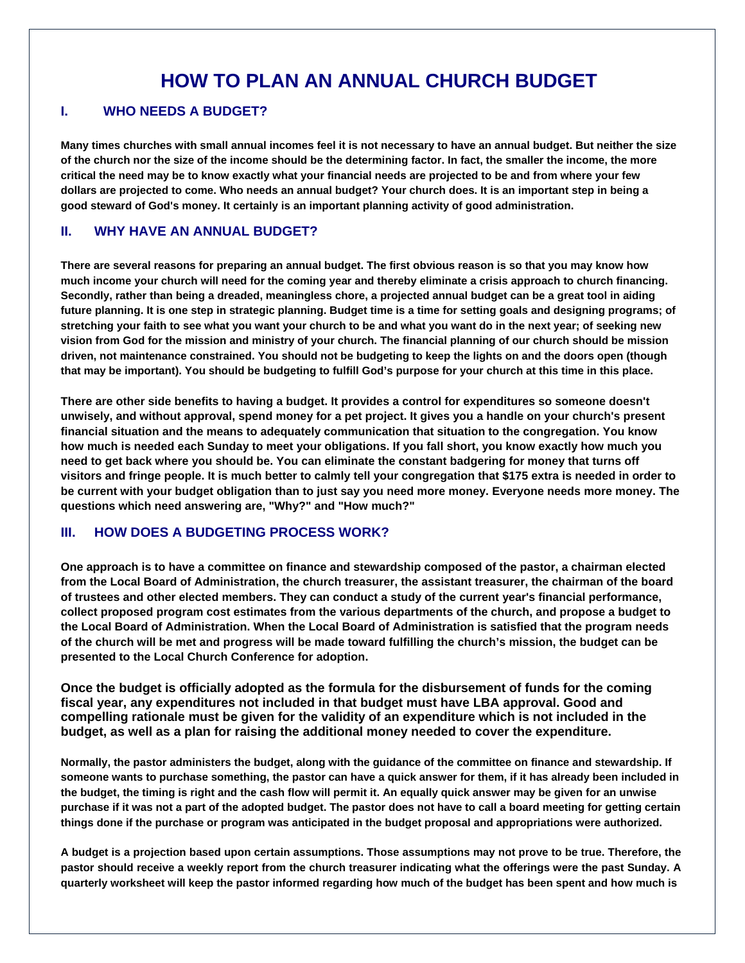# **HOW TO PLAN AN ANNUAL CHURCH BUDGET**

#### **I. WHO NEEDS A BUDGET?**

**Many times churches with small annual incomes feel it is not necessary to have an annual budget. But neither the size of the church nor the size of the income should be the determining factor. In fact, the smaller the income, the more critical the need may be to know exactly what your financial needs are projected to be and from where your few dollars are projected to come. Who needs an annual budget? Your church does. It is an important step in being a good steward of God's money. It certainly is an important planning activity of good administration.**

#### **II. WHY HAVE AN ANNUAL BUDGET?**

**There are several reasons for preparing an annual budget. The first obvious reason is so that you may know how much income your church will need for the coming year and thereby eliminate a crisis approach to church financing. Secondly, rather than being a dreaded, meaningless chore, a projected annual budget can be a great tool in aiding future planning. It is one step in strategic planning. Budget time is a time for setting goals and designing programs; of stretching your faith to see what you want your church to be and what you want do in the next year; of seeking new vision from God for the mission and ministry of your church. The financial planning of our church should be mission driven, not maintenance constrained. You should not be budgeting to keep the lights on and the doors open (though that may be important). You should be budgeting to fulfill God's purpose for your church at this time in this place.**

**There are other side benefits to having a budget. It provides a control for expenditures so someone doesn't unwisely, and without approval, spend money for a pet project. It gives you a handle on your church's present financial situation and the means to adequately communication that situation to the congregation. You know how much is needed each Sunday to meet your obligations. If you fall short, you know exactly how much you need to get back where you should be. You can eliminate the constant badgering for money that turns off visitors and fringe people. It is much better to calmly tell your congregation that \$175 extra is needed in order to be current with your budget obligation than to just say you need more money. Everyone needs more money. The questions which need answering are, "Why?" and "How much?"**

#### **III. HOW DOES A BUDGETING PROCESS WORK?**

**One approach is to have a committee on finance and stewardship composed of the pastor, a chairman elected from the Local Board of Administration, the church treasurer, the assistant treasurer, the chairman of the board of trustees and other elected members. They can conduct a study of the current year's financial performance, collect proposed program cost estimates from the various departments of the church, and propose a budget to the Local Board of Administration. When the Local Board of Administration is satisfied that the program needs of the church will be met and progress will be made toward fulfilling the church's mission, the budget can be presented to the Local Church Conference for adoption.**

**Once the budget is officially adopted as the formula for the disbursement of funds for the coming fiscal year, any expenditures not included in that budget must have LBA approval. Good and compelling rationale must be given for the validity of an expenditure which is not included in the budget, as well as a plan for raising the additional money needed to cover the expenditure.**

**Normally, the pastor administers the budget, along with the guidance of the committee on finance and stewardship. If someone wants to purchase something, the pastor can have a quick answer for them, if it has already been included in the budget, the timing is right and the cash flow will permit it. An equally quick answer may be given for an unwise purchase if it was not a part of the adopted budget. The pastor does not have to call a board meeting for getting certain things done if the purchase or program was anticipated in the budget proposal and appropriations were authorized.**

**A budget is a projection based upon certain assumptions. Those assumptions may not prove to be true. Therefore, the pastor should receive a weekly report from the church treasurer indicating what the offerings were the past Sunday. A quarterly worksheet will keep the pastor informed regarding how much of the budget has been spent and how much is**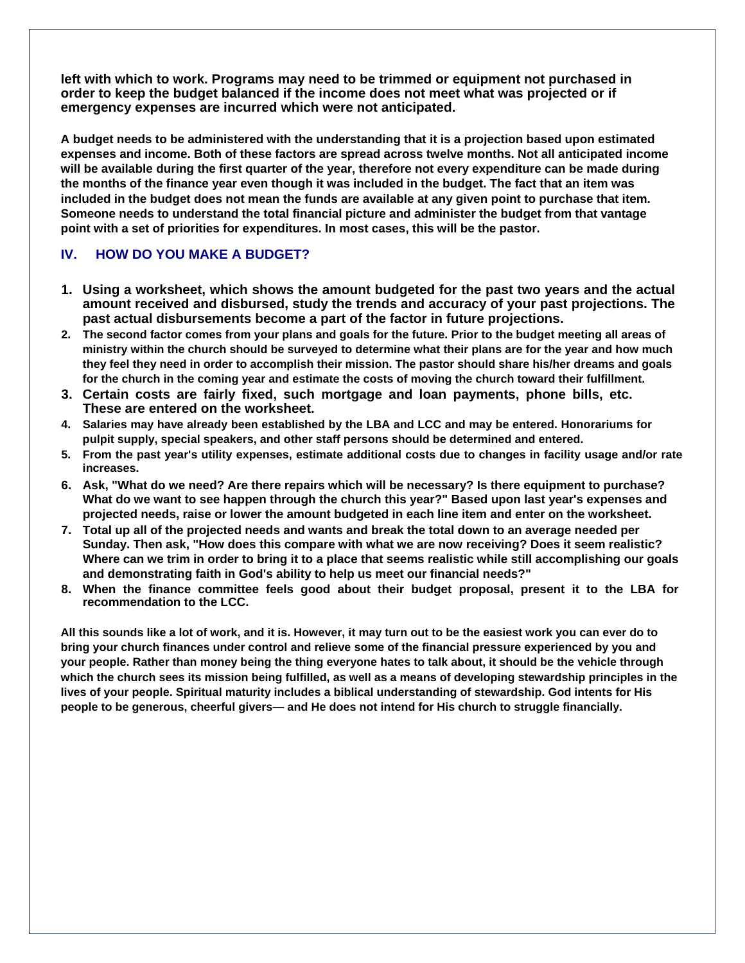**left with which to work. Programs may need to be trimmed or equipment not purchased in order to keep the budget balanced if the income does not meet what was projected or if emergency expenses are incurred which were not anticipated.**

**A budget needs to be administered with the understanding that it is a projection based upon estimated expenses and income. Both of these factors are spread across twelve months. Not all anticipated income will be available during the first quarter of the year, therefore not every expenditure can be made during the months of the finance year even though it was included in the budget. The fact that an item was included in the budget does not mean the funds are available at any given point to purchase that item. Someone needs to understand the total financial picture and administer the budget from that vantage point with a set of priorities for expenditures. In most cases, this will be the pastor.**

### **IV. HOW DO YOU MAKE A BUDGET?**

- **1. Using a worksheet, which shows the amount budgeted for the past two years and the actual amount received and disbursed, study the trends and accuracy of your past projections. The past actual disbursements become a part of the factor in future projections.**
- **2. The second factor comes from your plans and goals for the future. Prior to the budget meeting all areas of ministry within the church should be surveyed to determine what their plans are for the year and how much they feel they need in order to accomplish their mission. The pastor should share his/her dreams and goals for the church in the coming year and estimate the costs of moving the church toward their fulfillment.**
- **3. Certain costs are fairly fixed, such mortgage and loan payments, phone bills, etc. These are entered on the worksheet.**
- **4. Salaries may have already been established by the LBA and LCC and may be entered. Honorariums for pulpit supply, special speakers, and other staff persons should be determined and entered.**
- **5. From the past year's utility expenses, estimate additional costs due to changes in facility usage and/or rate increases.**
- **6. Ask, "What do we need? Are there repairs which will be necessary? Is there equipment to purchase? What do we want to see happen through the church this year?" Based upon last year's expenses and projected needs, raise or lower the amount budgeted in each line item and enter on the worksheet.**
- **7. Total up all of the projected needs and wants and break the total down to an average needed per Sunday. Then ask, "How does this compare with what we are now receiving? Does it seem realistic? Where can we trim in order to bring it to a place that seems realistic while still accomplishing our goals and demonstrating faith in God's ability to help us meet our financial needs?"**
- **8. When the finance committee feels good about their budget proposal, present it to the LBA for recommendation to the LCC.**

**All this sounds like a lot of work, and it is. However, it may turn out to be the easiest work you can ever do to bring your church finances under control and relieve some of the financial pressure experienced by you and your people. Rather than money being the thing everyone hates to talk about, it should be the vehicle through which the church sees its mission being fulfilled, as well as a means of developing stewardship principles in the lives of your people. Spiritual maturity includes a biblical understanding of stewardship. God intents for His people to be generous, cheerful givers— and He does not intend for His church to struggle financially.**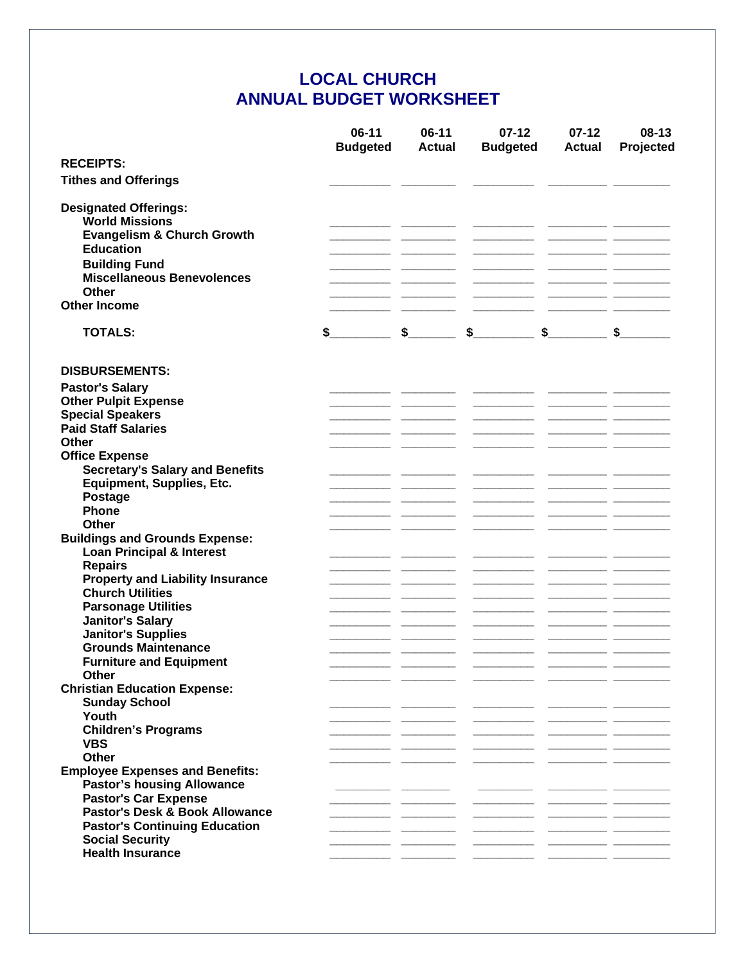## **LOCAL CHURCH ANNUAL BUDGET WORKSHEET**

|                                                                                                                                                                                                 | $06-11$<br><b>Budgeted</b> | $06-11$<br><b>Actual</b> | $07 - 12$<br><b>Budgeted</b> | $07-12$<br><b>Actual</b> | $08-13$<br>Projected |
|-------------------------------------------------------------------------------------------------------------------------------------------------------------------------------------------------|----------------------------|--------------------------|------------------------------|--------------------------|----------------------|
| <b>RECEIPTS:</b>                                                                                                                                                                                |                            |                          |                              |                          |                      |
| <b>Tithes and Offerings</b>                                                                                                                                                                     |                            |                          |                              |                          |                      |
| <b>Designated Offerings:</b><br><b>World Missions</b><br><b>Evangelism &amp; Church Growth</b><br><b>Education</b><br><b>Building Fund</b><br><b>Miscellaneous Benevolences</b><br><b>Other</b> |                            |                          |                              |                          |                      |
| <b>Other Income</b>                                                                                                                                                                             |                            |                          |                              |                          |                      |
| <b>TOTALS:</b>                                                                                                                                                                                  | \$                         | $\sim$                   | $\sim$                       | $\sim$                   | $\sim$               |
| <b>DISBURSEMENTS:</b>                                                                                                                                                                           |                            |                          |                              |                          |                      |
| <b>Pastor's Salary</b>                                                                                                                                                                          |                            |                          |                              |                          |                      |
| <b>Other Pulpit Expense</b>                                                                                                                                                                     |                            |                          |                              |                          |                      |
| <b>Special Speakers</b>                                                                                                                                                                         |                            |                          |                              |                          |                      |
| <b>Paid Staff Salaries</b>                                                                                                                                                                      |                            |                          |                              |                          |                      |
| Other                                                                                                                                                                                           |                            |                          |                              |                          |                      |
| <b>Office Expense</b>                                                                                                                                                                           |                            |                          |                              |                          |                      |
| <b>Secretary's Salary and Benefits</b>                                                                                                                                                          |                            |                          |                              |                          |                      |
| Equipment, Supplies, Etc.                                                                                                                                                                       |                            |                          |                              |                          |                      |
| Postage<br>Phone                                                                                                                                                                                |                            |                          |                              |                          |                      |
| Other                                                                                                                                                                                           |                            |                          |                              |                          |                      |
| <b>Buildings and Grounds Expense:</b>                                                                                                                                                           |                            |                          |                              |                          |                      |
| <b>Loan Principal &amp; Interest</b>                                                                                                                                                            |                            |                          |                              |                          |                      |
| <b>Repairs</b>                                                                                                                                                                                  |                            |                          |                              |                          |                      |
| <b>Property and Liability Insurance</b>                                                                                                                                                         |                            |                          |                              |                          |                      |
| <b>Church Utilities</b>                                                                                                                                                                         |                            |                          |                              |                          |                      |
| <b>Parsonage Utilities</b>                                                                                                                                                                      |                            |                          |                              |                          |                      |
| <b>Janitor's Salary</b>                                                                                                                                                                         |                            |                          |                              |                          |                      |
| <b>Janitor's Supplies</b>                                                                                                                                                                       |                            |                          |                              |                          |                      |
| <b>Grounds Maintenance</b>                                                                                                                                                                      |                            |                          |                              |                          |                      |
| <b>Furniture and Equipment</b>                                                                                                                                                                  |                            |                          |                              |                          |                      |
| Other                                                                                                                                                                                           |                            |                          |                              |                          |                      |
| <b>Christian Education Expense:</b>                                                                                                                                                             |                            |                          |                              |                          |                      |
| <b>Sunday School</b>                                                                                                                                                                            |                            |                          |                              |                          |                      |
| Youth                                                                                                                                                                                           |                            |                          |                              |                          |                      |
| <b>Children's Programs</b>                                                                                                                                                                      |                            |                          |                              |                          |                      |
| <b>VBS</b>                                                                                                                                                                                      |                            |                          |                              |                          |                      |
| <b>Other</b>                                                                                                                                                                                    |                            |                          |                              |                          |                      |
| <b>Employee Expenses and Benefits:</b>                                                                                                                                                          |                            |                          |                              |                          |                      |
| <b>Pastor's housing Allowance</b>                                                                                                                                                               |                            |                          |                              |                          |                      |
| <b>Pastor's Car Expense</b>                                                                                                                                                                     |                            |                          |                              |                          |                      |
| Pastor's Desk & Book Allowance                                                                                                                                                                  |                            |                          |                              |                          |                      |
| <b>Pastor's Continuing Education</b>                                                                                                                                                            |                            |                          |                              |                          |                      |
| <b>Social Security</b>                                                                                                                                                                          |                            |                          |                              |                          |                      |
| <b>Health Insurance</b>                                                                                                                                                                         |                            |                          |                              |                          |                      |